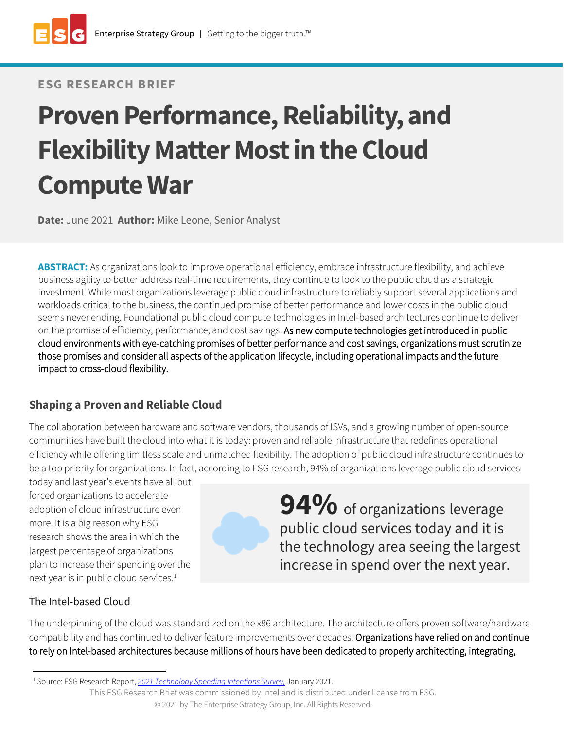# **ESG RESEARCH BRIEF**

# **Proven Performance, Reliability, and Flexibility Matter Most in the Cloud Compute War**

**Date:** June 2021 **Author:** Mike Leone, Senior Analyst

**ABSTRACT:** As organizations look to improve operational efficiency, embrace infrastructure flexibility, and achieve business agility to better address real-time requirements, they continue to look to the public cloud as a strategic investment. While most organizations leverage public cloud infrastructure to reliably support several applications and workloads critical to the business, the continued promise of better performance and lower costs in the public cloud seems never ending. Foundational public cloud compute technologies in Intel-based architectures continue to deliver on the promise of efficiency, performance, and cost savings. As new compute technologies get introduced in public cloud environments with eye-catching promises of better performance and cost savings, organizations must scrutinize those promises and consider all aspects of the application lifecycle, including operational impacts and the future impact to cross-cloud flexibility.

# **Shaping a Proven and Reliable Cloud**

The collaboration between hardware and software vendors, thousands of ISVs, and a growing number of open-source communities have built the cloud into what it is today: proven and reliable infrastructure that redefines operational efficiency while offering limitless scale and unmatched flexibility. The adoption of public cloud infrastructure continues to be a top priority for organizations. In fact, according to ESG research, 94% of organizations leverage public cloud services

today and last year's events have all but forced organizations to accelerate adoption of cloud infrastructure even more. It is a big reason why ESG research shows the area in which the largest percentage of organizations plan to increase their spending over the next year is in public cloud services.<sup>1</sup>



94% of organizations leverage public cloud services today and it is the technology area seeing the largest increase in spend over the next year.

# The Intel-based Cloud

The underpinning of the cloud was standardized on the x86 architecture. The architecture offers proven software/hardware compatibility and has continued to deliver feature improvements over decades. Organizations have relied on and continue to rely on Intel-based architectures because millions of hours have been dedicated to properly architecting, integrating,

<sup>1</sup> Source: ESG Research Report, *[2021 Technology Spending Intentions Survey,](https://research.esg-global.com/reportaction/2021techspendingintentionsreport/Toc)* January 2021.

This ESG Research Brief was commissioned by Intel and is distributed under license from ESG.

<sup>©</sup> 2021 by The Enterprise Strategy Group, Inc. All Rights Reserved.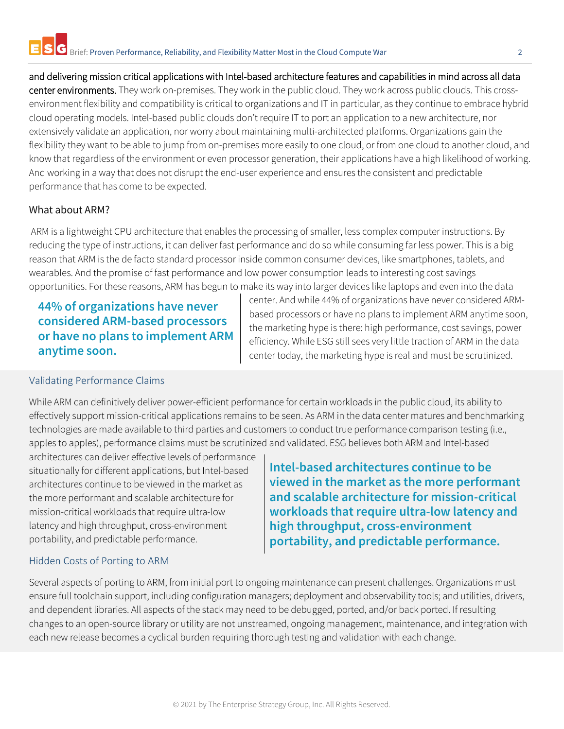and delivering mission critical applications with Intel-based architecture features and capabilities in mind across all data center environments. They work on-premises. They work in the public cloud. They work across public clouds. This crossenvironment flexibility and compatibility is critical to organizations and IT in particular, as they continue to embrace hybrid cloud operating models. Intel-based public clouds don't require IT to port an application to a new architecture, nor extensively validate an application, nor worry about maintaining multi-architected platforms. Organizations gain the flexibility they want to be able to jump from on-premises more easily to one cloud, or from one cloud to another cloud, and know that regardless of the environment or even processor generation, their applications have a high likelihood of working. And working in a way that does not disrupt the end-user experience and ensures the consistent and predictable performance that has come to be expected.

#### What about ARM?

ARM is a lightweight CPU architecture that enables the processing of smaller, less complex computer instructions. By reducing the type of instructions, it can deliver fast performance and do so while consuming far less power. This is a big reason that ARM is the de facto standard processor inside common consumer devices, like smartphones, tablets, and wearables. And the promise of fast performance and low power consumption leads to interesting cost savings opportunities. For these reasons, ARM has begun to make its way into larger devices like laptops and even into the data

**44% of organizations have never considered ARM-based processors or have no plans to implement ARM anytime soon.**

center. And while 44% of organizations have never considered ARMbased processors or have no plans to implement ARM anytime soon, the marketing hype is there: high performance, cost savings, power efficiency. While ESG still sees very little traction of ARM in the data center today, the marketing hype is real and must be scrutinized.

#### Validating Performance Claims

While ARM can definitively deliver power-efficient performance for certain workloads in the public cloud, its ability to effectively support mission-critical applications remains to be seen. As ARM in the data center matures and benchmarking technologies are made available to third parties and customers to conduct true performance comparison testing (i.e., apples to apples), performance claims must be scrutinized and validated. ESG believes both ARM and Intel-based

architectures can deliver effective levels of performance situationally for different applications, but Intel-based architectures continue to be viewed in the market as the more performant and scalable architecture for mission-critical workloads that require ultra-low latency and high throughput, cross-environment portability, and predictable performance.

**Intel-based architectures continue to be viewed in the market as the more performant and scalable architecture for mission-critical workloads that require ultra-low latency and high throughput, cross-environment portability, and predictable performance.**

#### Hidden Costs of Porting to ARM

Several aspects of porting to ARM, from initial port to ongoing maintenance can present challenges. Organizations must ensure full toolchain support, including configuration managers; deployment and observability tools; and utilities, drivers, and dependent libraries. All aspects of the stack may need to be debugged, ported, and/or back ported. If resulting changes to an open-source library or utility are not unstreamed, ongoing management, maintenance, and integration with each new release becomes a cyclical burden requiring thorough testing and validation with each change.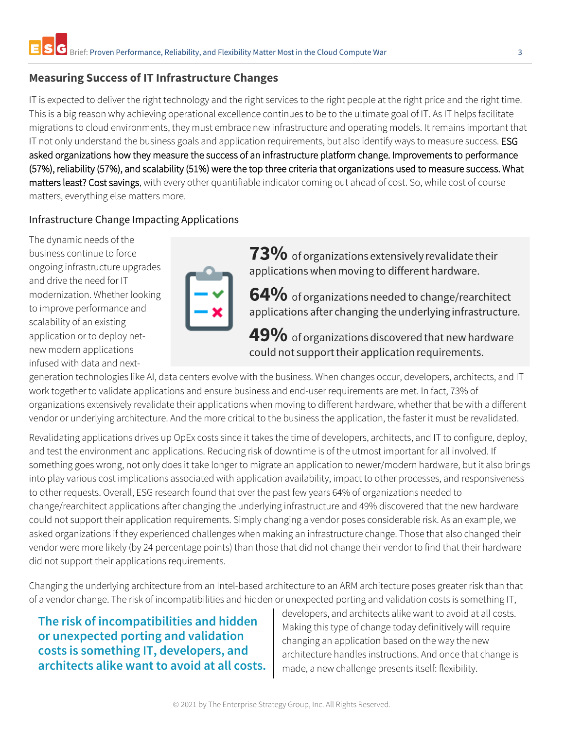# **Measuring Success of IT Infrastructure Changes**

IT is expected to deliver the right technology and the right services to the right people at the right price and the right time. This is a big reason why achieving operational excellence continues to be to the ultimate goal of IT. As IT helps facilitate migrations to cloud environments, they must embrace new infrastructure and operating models. It remains important that IT not only understand the business goals and application requirements, but also identify ways to measure success. ESG asked organizations how they measure the success of an infrastructure platform change. Improvements to performance (57%), reliability (57%), and scalability (51%) were the top three criteria that organizations used to measure success. What matters least? Cost savings, with every other quantifiable indicator coming out ahead of cost. So, while cost of course matters, everything else matters more.

## Infrastructure Change Impacting Applications

The dynamic needs of the business continue to force ongoing infrastructure upgrades and drive the need for IT modernization. Whether looking to improve performance and scalability of an existing application or to deploy netnew modern applications infused with data and next-

73% of organizations extensively revalidate their applications when moving to different hardware.

 $64\%$  of organizations needed to change/rearchitect applications after changing the underlying infrastructure.

49% of organizations discovered that new hardware could not support their application requirements.

generation technologies like AI, data centers evolve with the business. When changes occur, developers, architects, and IT work together to validate applications and ensure business and end-user requirements are met. In fact, 73% of organizations extensively revalidate their applications when moving to different hardware, whether that be with a different vendor or underlying architecture. And the more critical to the business the application, the faster it must be revalidated.

Revalidating applications drives up OpEx costs since it takes the time of developers, architects, and IT to configure, deploy, and test the environment and applications. Reducing risk of downtime is of the utmost important for all involved. If something goes wrong, not only does it take longer to migrate an application to newer/modern hardware, but it also brings into play various cost implications associated with application availability, impact to other processes, and responsiveness to other requests. Overall, ESG research found that over the past few years 64% of organizations needed to change/rearchitect applications after changing the underlying infrastructure and 49% discovered that the new hardware could not support their application requirements. Simply changing a vendor poses considerable risk. As an example, we asked organizations if they experienced challenges when making an infrastructure change. Those that also changed their vendor were more likely (by 24 percentage points) than those that did not change their vendor to find that their hardware did not support their applications requirements.

Changing the underlying architecture from an Intel-based architecture to an ARM architecture poses greater risk than that of a vendor change. The risk of incompatibilities and hidden or unexpected porting and validation costs is something IT,

**The risk of incompatibilities and hidden or unexpected porting and validation costs is something IT, developers, and architects alike want to avoid at all costs.** developers, and architects alike want to avoid at all costs. Making this type of change today definitively will require changing an application based on the way the new architecture handles instructions. And once that change is made, a new challenge presents itself: flexibility.